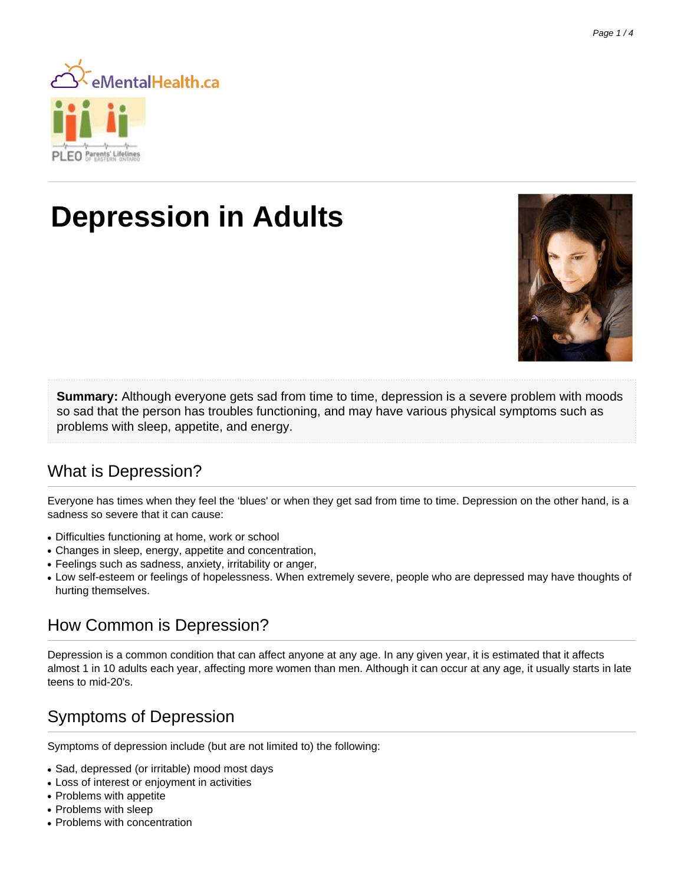

# **Depression in Adults**



**Summary:** Although everyone gets sad from time to time, depression is a severe problem with moods so sad that the person has troubles functioning, and may have various physical symptoms such as problems with sleep, appetite, and energy.

# What is Depression?

Everyone has times when they feel the 'blues' or when they get sad from time to time. Depression on the other hand, is a sadness so severe that it can cause:

- Difficulties functioning at home, work or school
- Changes in sleep, energy, appetite and concentration,
- Feelings such as sadness, anxiety, irritability or anger,
- Low self-esteem or feelings of hopelessness. When extremely severe, people who are depressed may have thoughts of hurting themselves.

# How Common is Depression?

Depression is a common condition that can affect anyone at any age. In any given year, it is estimated that it affects almost 1 in 10 adults each year, affecting more women than men. Although it can occur at any age, it usually starts in late teens to mid-20's.

### Symptoms of Depression

Symptoms of depression include (but are not limited to) the following:

- Sad, depressed (or irritable) mood most days
- Loss of interest or enjoyment in activities
- Problems with appetite
- Problems with sleep
- Problems with concentration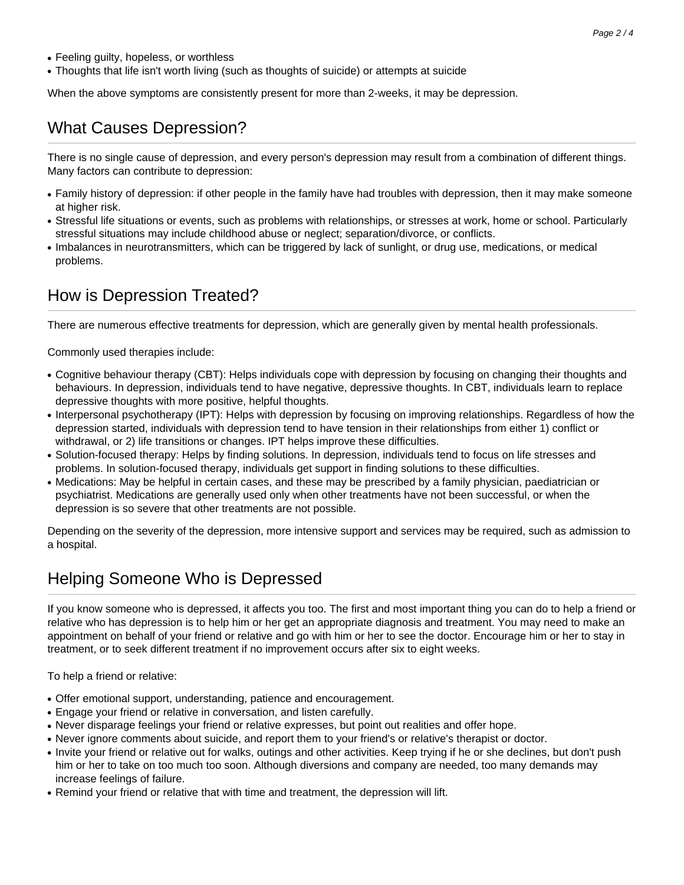- Feeling guilty, hopeless, or worthless
- Thoughts that life isn't worth living (such as thoughts of suicide) or attempts at suicide

When the above symptoms are consistently present for more than 2-weeks, it may be depression.

#### What Causes Depression?

There is no single cause of depression, and every person's depression may result from a combination of different things. Many factors can contribute to depression:

- Family history of depression: if other people in the family have had troubles with depression, then it may make someone at higher risk.
- Stressful life situations or events, such as problems with relationships, or stresses at work, home or school. Particularly stressful situations may include childhood abuse or neglect; separation/divorce, or conflicts.
- Imbalances in neurotransmitters, which can be triggered by lack of sunlight, or drug use, medications, or medical problems.

#### How is Depression Treated?

There are numerous effective treatments for depression, which are generally given by mental health professionals.

Commonly used therapies include:

- Cognitive behaviour therapy (CBT): Helps individuals cope with depression by focusing on changing their thoughts and behaviours. In depression, individuals tend to have negative, depressive thoughts. In CBT, individuals learn to replace depressive thoughts with more positive, helpful thoughts.
- Interpersonal psychotherapy (IPT): Helps with depression by focusing on improving relationships. Regardless of how the depression started, individuals with depression tend to have tension in their relationships from either 1) conflict or withdrawal, or 2) life transitions or changes. IPT helps improve these difficulties.
- Solution-focused therapy: Helps by finding solutions. In depression, individuals tend to focus on life stresses and problems. In solution-focused therapy, individuals get support in finding solutions to these difficulties.
- Medications: May be helpful in certain cases, and these may be prescribed by a family physician, paediatrician or psychiatrist. Medications are generally used only when other treatments have not been successful, or when the depression is so severe that other treatments are not possible.

Depending on the severity of the depression, more intensive support and services may be required, such as admission to a hospital.

#### Helping Someone Who is Depressed

If you know someone who is depressed, it affects you too. The first and most important thing you can do to help a friend or relative who has depression is to help him or her get an appropriate diagnosis and treatment. You may need to make an appointment on behalf of your friend or relative and go with him or her to see the doctor. Encourage him or her to stay in treatment, or to seek different treatment if no improvement occurs after six to eight weeks.

To help a friend or relative:

- Offer emotional support, understanding, patience and encouragement.
- Engage your friend or relative in conversation, and listen carefully.
- Never disparage feelings your friend or relative expresses, but point out realities and offer hope.
- Never ignore comments about suicide, and report them to your friend's or relative's therapist or doctor.
- Invite your friend or relative out for walks, outings and other activities. Keep trying if he or she declines, but don't push him or her to take on too much too soon. Although diversions and company are needed, too many demands may increase feelings of failure.
- Remind your friend or relative that with time and treatment, the depression will lift.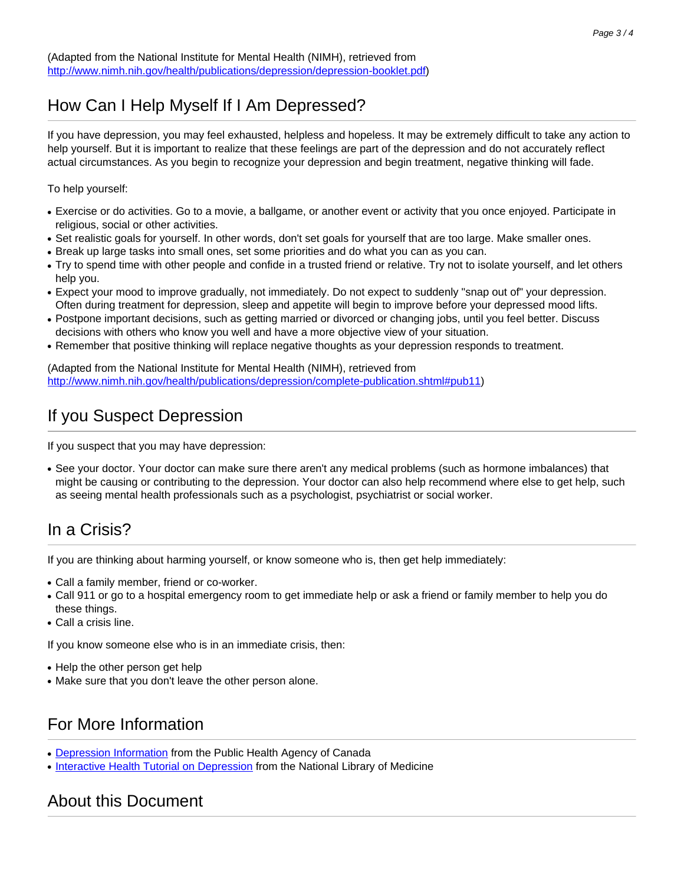(Adapted from the National Institute for Mental Health (NIMH), retrieved from <http://www.nimh.nih.gov/health/publications/depression/depression-booklet.pdf>)

#### How Can I Help Myself If I Am Depressed?

If you have depression, you may feel exhausted, helpless and hopeless. It may be extremely difficult to take any action to help yourself. But it is important to realize that these feelings are part of the depression and do not accurately reflect actual circumstances. As you begin to recognize your depression and begin treatment, negative thinking will fade.

To help yourself:

- Exercise or do activities. Go to a movie, a ballgame, or another event or activity that you once enjoyed. Participate in religious, social or other activities.
- Set realistic goals for yourself. In other words, don't set goals for yourself that are too large. Make smaller ones.
- Break up large tasks into small ones, set some priorities and do what you can as you can.
- Try to spend time with other people and confide in a trusted friend or relative. Try not to isolate yourself, and let others help you.
- Expect your mood to improve gradually, not immediately. Do not expect to suddenly "snap out of" your depression. Often during treatment for depression, sleep and appetite will begin to improve before your depressed mood lifts.
- Postpone important decisions, such as getting married or divorced or changing jobs, until you feel better. Discuss decisions with others who know you well and have a more objective view of your situation.
- Remember that positive thinking will replace negative thoughts as your depression responds to treatment.

(Adapted from the National Institute for Mental Health (NIMH), retrieved from [http://www.nimh.nih.gov/health/publications/depression/complete-publication.shtml#pub11\)](http://www.nimh.nih.gov/health/publications/depression/complete-publication.shtml#pub11)

#### If you Suspect Depression

If you suspect that you may have depression:

• See your doctor. Your doctor can make sure there aren't any medical problems (such as hormone imbalances) that might be causing or contributing to the depression. Your doctor can also help recommend where else to get help, such as seeing mental health professionals such as a psychologist, psychiatrist or social worker.

#### In a Crisis?

If you are thinking about harming yourself, or know someone who is, then get help immediately:

- Call a family member, friend or co-worker.
- Call 911 or go to a hospital emergency room to get immediate help or ask a friend or family member to help you do these things.
- Call a crisis line.

If you know someone else who is in an immediate crisis, then:

- Help the other person get help
- Make sure that you don't leave the other person alone.

#### For More Information

- [Depression Information](http://www.phac-aspc.gc.ca/cd-mc/mi-mm/depression-eng.php) from the Public Health Agency of Canada
- [Interactive Health Tutorial on Depression](http://www.nlm.nih.gov/medlineplus/tutorials/depression/htm/index.htm) from the National Library of Medicine

#### About this Document